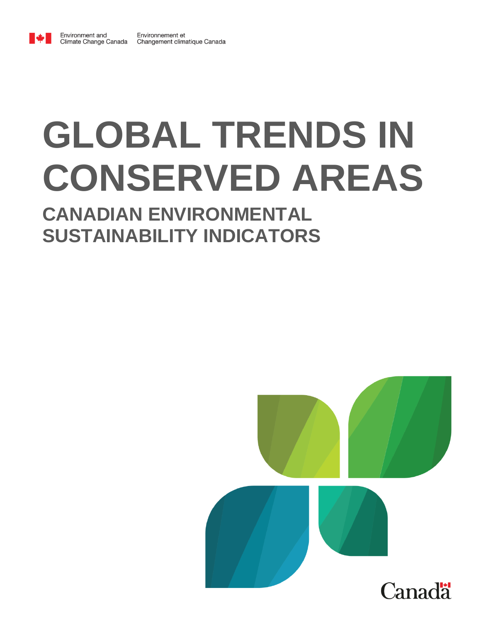

Environment and

# **GLOBAL TRENDS IN CONSERVED AREAS**

# **CANADIAN ENVIRONMENTAL SUSTAINABILITY INDICATORS**

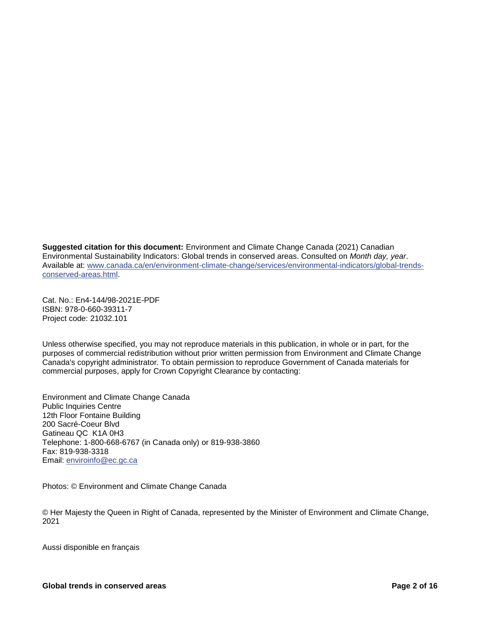**Suggested citation for this document:** Environment and Climate Change Canada (2021) Canadian Environmental Sustainability Indicators: Global trends in conserved areas. Consulted on *Month day, year*. Available at: [www.canada.ca/en/environment-climate-change/services/environmental-indicators/global-trends](http://www.canada.ca/en/environment-climate-change/services/environmental-indicators/global-trends-conserved-areas.html)[conserved-areas.html.](http://www.canada.ca/en/environment-climate-change/services/environmental-indicators/global-trends-conserved-areas.html)

Cat. No.: En4-144/98-2021E-PDF ISBN: 978-0-660-39311-7 Project code: 21032.101

Unless otherwise specified, you may not reproduce materials in this publication, in whole or in part, for the purposes of commercial redistribution without prior written permission from Environment and Climate Change Canada's copyright administrator. To obtain permission to reproduce Government of Canada materials for commercial purposes, apply for Crown Copyright Clearance by contacting:

Environment and Climate Change Canada Public Inquiries Centre 12th Floor Fontaine Building 200 Sacré-Coeur Blvd Gatineau QC K1A 0H3 Telephone: 1-800-668-6767 (in Canada only) or 819-938-3860 Fax: 819-938-3318 Email: [enviroinfo@ec.gc.ca](mailto:enviroinfo@ec.gc.ca)

Photos: © Environment and Climate Change Canada

© Her Majesty the Queen in Right of Canada, represented by the Minister of Environment and Climate Change, 2021

Aussi disponible en français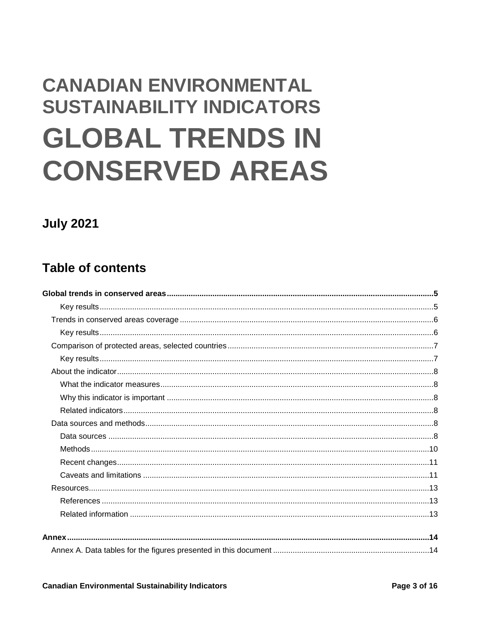# **CANADIAN ENVIRONMENTAL SUSTAINABILITY INDICATORS GLOBAL TRENDS IN CONSERVED AREAS**

# **July 2021**

# **Table of contents**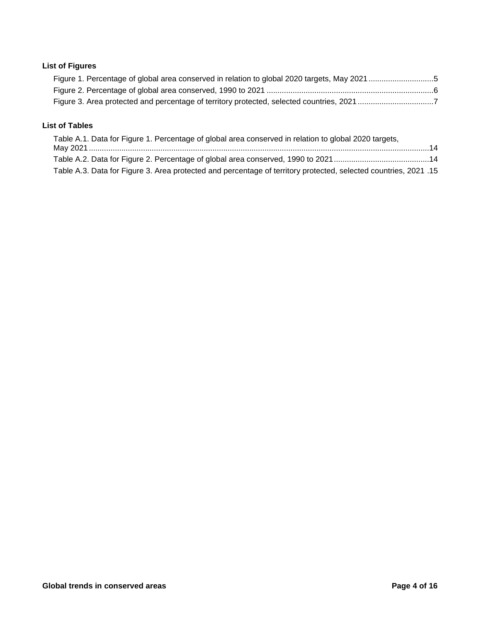#### **List of Figures**

#### **List of Tables**

| Table A.1. Data for Figure 1. Percentage of global area conserved in relation to global 2020 targets,            |  |
|------------------------------------------------------------------------------------------------------------------|--|
|                                                                                                                  |  |
|                                                                                                                  |  |
| 15. Table A.3. Data for Figure 3. Area protected and percentage of territory protected, selected countries, 2021 |  |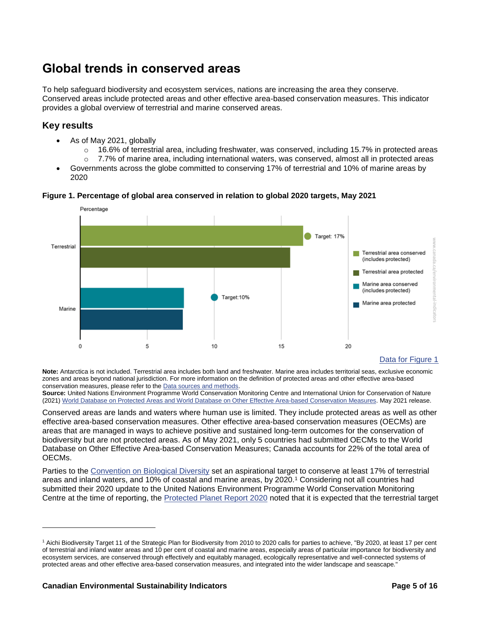# <span id="page-4-0"></span>**Global trends in conserved areas**

To help safeguard biodiversity and ecosystem services, nations are increasing the area they conserve. Conserved areas include protected areas and other effective area-based conservation measures. This indicator provides a global overview of terrestrial and marine conserved areas.

#### <span id="page-4-1"></span>**Key results**

- As of May 2021, globally
	- $\circ$  16.6% of terrestrial area, including freshwater, was conserved, including 15.7% in protected areas  $\circ$  7.7% of marine area, including international waters, was conserved, almost all in protected areas
- Governments across the globe committed to conserving 17% of terrestrial and 10% of marine areas by 2020

<span id="page-4-2"></span>



#### [Data for Figure 1](#page-13-2)

Note: Antarctica is not included. Terrestrial area includes both land and freshwater. Marine area includes territorial seas, exclusive economic zones and areas beyond national jurisdiction. For more information on the definition of protected areas and other effective area-based conservation measures, please refer to th[e Data sources and methods.](#page-8-0)

**Source:** United Nations Environment Programme World Conservation Monitoring Centre and International Union for Conservation of Nature (2021) [World Database on Protected Areas and World Database on Other Effective Area-based Conservation Measures.](https://www.protectedplanet.net/en) May 2021 release.

Conserved areas are lands and waters where human use is limited. They include protected areas as well as other effective area-based conservation measures. Other effective area-based conservation measures (OECMs) are areas that are managed in ways to achieve positive and sustained long-term outcomes for the conservation of biodiversity but are not protected areas. As of May 2021, only 5 countries had submitted OECMs to the World Database on Other Effective Area-based Conservation Measures; Canada accounts for 22% of the total area of OECMs.

Parties to the [Convention on Biological Diversity](http://www.cbd.int/) set an aspirational target to conserve at least 17% of terrestrial areas and inland waters, and 10% of coastal and marine areas, by 2020.<sup>1</sup> Considering not all countries had submitted their 2020 update to the United Nations Environment Programme World Conservation Monitoring Centre at the time of reporting, the [Protected Planet Report 2020](https://livereport.protectedplanet.net/) noted that it is expected that the terrestrial target

l

<sup>1</sup> Aichi Biodiversity Target 11 of the Strategic Plan for Biodiversity from 2010 to 2020 calls for parties to achieve, "By 2020, at least 17 per cent of terrestrial and inland water areas and 10 per cent of coastal and marine areas, especially areas of particular importance for biodiversity and ecosystem services, are conserved through effectively and equitably managed, ecologically representative and well-connected systems of protected areas and other effective area-based conservation measures, and integrated into the wider landscape and seascape."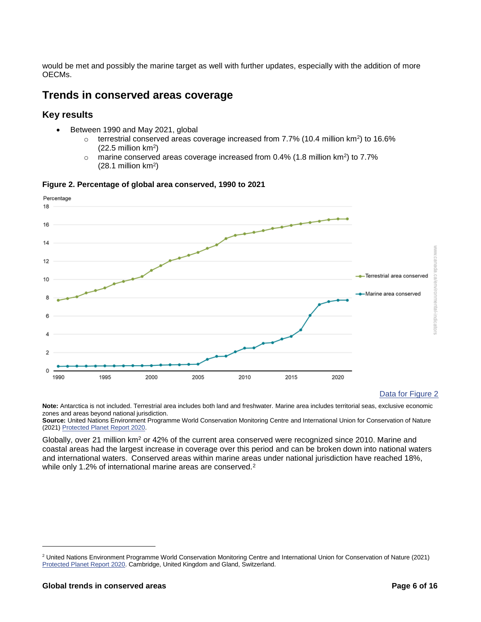would be met and possibly the marine target as well with further updates, especially with the addition of more OECMs.

#### <span id="page-5-0"></span>**Trends in conserved areas coverage**

#### <span id="page-5-1"></span>**Key results**

- Between 1990 and May 2021, global
	- $\circ$  terrestrial conserved areas coverage increased from 7.7% (10.4 million km<sup>2</sup>) to 16.6%  $(22.5 \text{ million km}^2)$
	- $\circ$  marine conserved areas coverage increased from 0.4% (1.8 million km<sup>2</sup>) to 7.7%  $(28.1 \text{ million km}^2)$

<span id="page-5-2"></span>



#### [Data for Figure 2](#page-13-3)

**Note:** Antarctica is not included. Terrestrial area includes both land and freshwater. Marine area includes territorial seas, exclusive economic zones and areas beyond national jurisdiction.

**Source:** United Nations Environment Programme World Conservation Monitoring Centre and International Union for Conservation of Nature (2021) [Protected Planet Report 2020.](https://livereport.protectedplanet.net/)

Globally, over 21 million km<sup>2</sup> or 42% of the current area conserved were recognized since 2010. Marine and coastal areas had the largest increase in coverage over this period and can be broken down into national waters and international waters. Conserved areas within marine areas under national jurisdiction have reached 18%, while only 1.2% of international marine areas are conserved.<sup>2</sup>

l

<sup>&</sup>lt;sup>2</sup> United Nations Environment Programme World Conservation Monitoring Centre and International Union for Conservation of Nature (2021) [Protected Planet Report 2020.](https://livereport.protectedplanet.net/) Cambridge, United Kingdom and Gland, Switzerland.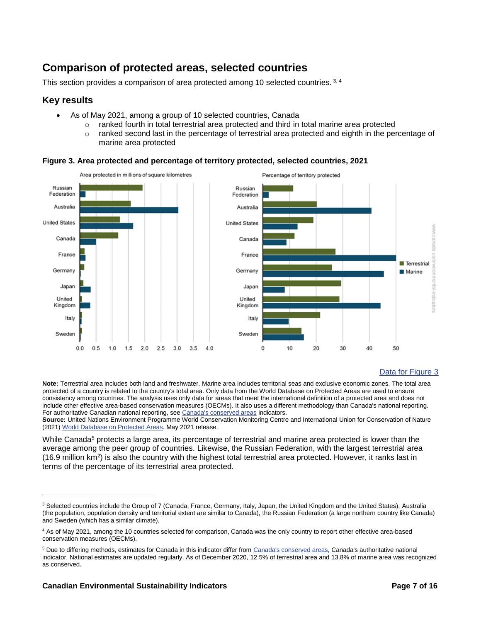# <span id="page-6-0"></span>**Comparison of protected areas, selected countries**

This section provides a comparison of area protected among 10 selected countries. 3, 4

#### <span id="page-6-1"></span>**Key results**

 $\overline{a}$ 

- As of May 2021, among a group of 10 selected countries, Canada
	- $\circ$  ranked fourth in total terrestrial area protected and third in total marine area protected
	- $\circ$  ranked second last in the percentage of terrestrial area protected and eighth in the percentage of marine area protected



#### <span id="page-6-2"></span>**Figure 3. Area protected and percentage of territory protected, selected countries, 2021**

#### [Data for Figure 3](#page-14-0)

**Note:** Terrestrial area includes both land and freshwater. Marine area includes territorial seas and exclusive economic zones. The total area protected of a country is related to the country's total area. Only data from the World Database on Protected Areas are used to ensure consistency among countries. The analysis uses only data for areas that meet the international definition of a protected area and does not include other effective area-based conservation measures (OECMs). It also uses a different methodology than Canada's national reporting. For authoritative Canadian national reporting, se[e Canada's conserved areas](https://www.canada.ca/en/environment-climate-change/services/environmental-indicators/conserved-areas.html) indicators.

**Source:** United Nations Environment Programme World Conservation Monitoring Centre and International Union for Conservation of Nature (2021) [World Database on Protected Areas.](https://www.protectedplanet.net/) May 2021 release.

While Canada<sup>5</sup> protects a large area, its percentage of terrestrial and marine area protected is lower than the average among the peer group of countries. Likewise, the Russian Federation, with the largest terrestrial area (16.9 million km<sup>2</sup>) is also the country with the highest total terrestrial area protected. However, it ranks last in terms of the percentage of its terrestrial area protected.

<sup>&</sup>lt;sup>3</sup> Selected countries include the Group of 7 (Canada, France, Germany, Italy, Japan, the United Kingdom and the United States), Australia (the population, population density and territorial extent are similar to Canada), the Russian Federation (a large northern country like Canada) and Sweden (which has a similar climate).

<sup>4</sup> As of May 2021, among the 10 countries selected for comparison, Canada was the only country to report other effective area-based conservation measures (OECMs).

<sup>5</sup> Due to differing methods, estimates for Canada in this indicator differ fro[m Canada's conserved areas,](https://www.canada.ca/en/environment-climate-change/services/environmental-indicators/conserved-areas.html) Canada's authoritative national indicator. National estimates are updated regularly. As of December 2020, 12.5% of terrestrial area and 13.8% of marine area was recognized as conserved.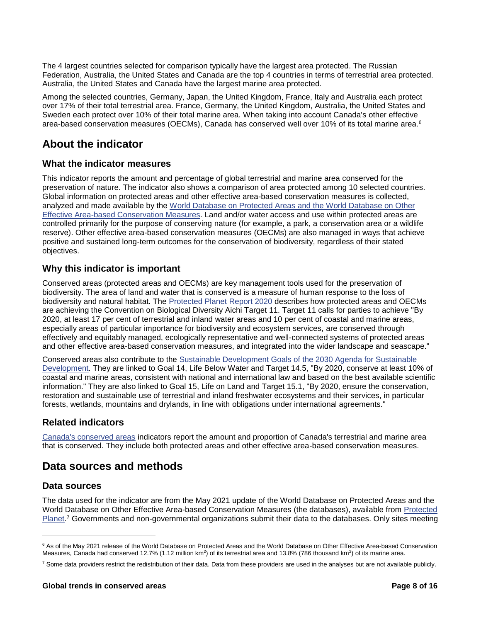The 4 largest countries selected for comparison typically have the largest area protected. The Russian Federation, Australia, the United States and Canada are the top 4 countries in terms of terrestrial area protected. Australia, the United States and Canada have the largest marine area protected.

Among the selected countries, Germany, Japan, the United Kingdom, France, Italy and Australia each protect over 17% of their total terrestrial area. France, Germany, the United Kingdom, Australia, the United States and Sweden each protect over 10% of their total marine area. When taking into account Canada's other effective area-based conservation measures (OECMs), Canada has conserved well over 10% of its total marine area.<sup>6</sup>

### <span id="page-7-0"></span>**About the indicator**

#### <span id="page-7-1"></span>**What the indicator measures**

This indicator reports the amount and percentage of global terrestrial and marine area conserved for the preservation of nature. The indicator also shows a comparison of area protected among 10 selected countries. Global information on protected areas and other effective area-based conservation measures is collected, analyzed and made available by the [World Database on Protected Areas and the World Database on Other](https://www.protectedplanet.net/)  [Effective Area-based Conservation Measures.](https://www.protectedplanet.net/) Land and/or water access and use within protected areas are controlled primarily for the purpose of conserving nature (for example, a park, a conservation area or a wildlife reserve). Other effective area-based conservation measures (OECMs) are also managed in ways that achieve positive and sustained long-term outcomes for the conservation of biodiversity, regardless of their stated objectives.

#### <span id="page-7-2"></span>**Why this indicator is important**

Conserved areas (protected areas and OECMs) are key management tools used for the preservation of biodiversity. The area of land and water that is conserved is a measure of human response to the loss of biodiversity and natural habitat. The [Protected Planet Report 2020](https://livereport.protectedplanet.net/) describes how protected areas and OECMs are achieving the Convention on Biological Diversity Aichi Target 11. Target 11 calls for parties to achieve "By 2020, at least 17 per cent of terrestrial and inland water areas and 10 per cent of coastal and marine areas, especially areas of particular importance for biodiversity and ecosystem services, are conserved through effectively and equitably managed, ecologically representative and well-connected systems of protected areas and other effective area-based conservation measures, and integrated into the wider landscape and seascape."

Conserved areas also contribute to the [Sustainable Development Goals of the 2030 Agenda for Sustainable](http://www.un.org/sustainabledevelopment/)  [Development.](http://www.un.org/sustainabledevelopment/) They are linked to Goal 14, Life Below Water and Target 14.5, "By 2020, conserve at least 10% of coastal and marine areas, consistent with national and international law and based on the best available scientific information." They are also linked to Goal 15, Life on Land and Target 15.1, "By 2020, ensure the conservation, restoration and sustainable use of terrestrial and inland freshwater ecosystems and their services, in particular forests, wetlands, mountains and drylands, in line with obligations under international agreements."

#### <span id="page-7-3"></span>**Related indicators**

[Canada's conserved areas](https://www.canada.ca/en/environment-climate-change/services/environmental-indicators/conserved-areas.html) indicators report the amount and proportion of Canada's terrestrial and marine area that is conserved. They include both protected areas and other effective area-based conservation measures.

### <span id="page-7-4"></span>**Data sources and methods**

#### <span id="page-7-5"></span>**Data sources**

 $\overline{a}$ 

The data used for the indicator are from the May 2021 update of the World Database on Protected Areas and the World Database on Other Effective Area-based Conservation Measures (the databases), available from [Protected](http://www.protectedplanet.net/)  [Planet.](http://www.protectedplanet.net/)<sup>7</sup> Governments and non-governmental organizations submit their data to the databases. Only sites meeting

<sup>&</sup>lt;sup>6</sup> As of the May 2021 release of the World Database on Protected Areas and the World Database on Other Effective Area-based Conservation Measures, Canada had conserved 12.7% (1.12 million km<sup>2</sup>) of its terrestrial area and 13.8% (786 thousand km<sup>2</sup>) of its marine area.

 $7$  Some data providers restrict the redistribution of their data. Data from these providers are used in the analyses but are not available publicly.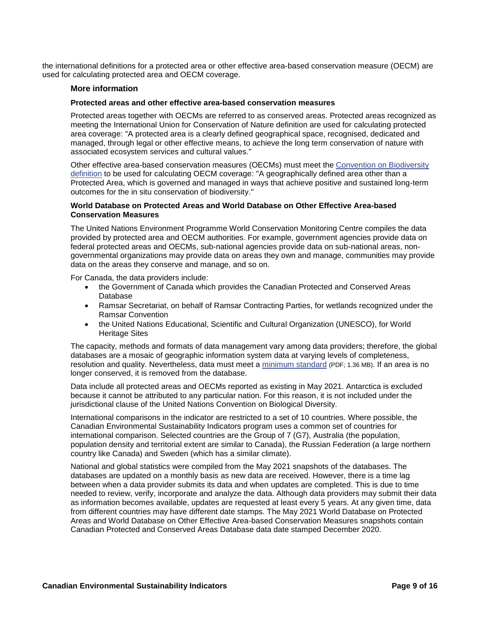the international definitions for a protected area or other effective area-based conservation measure (OECM) are used for calculating protected area and OECM coverage.

#### **More information**

#### <span id="page-8-0"></span>**Protected areas and other effective area-based conservation measures**

Protected areas together with OECMs are referred to as conserved areas. Protected areas recognized as meeting the International Union for Conservation of Nature definition are used for calculating protected area coverage: "A protected area is a clearly defined geographical space, recognised, dedicated and managed, through legal or other effective means, to achieve the long term conservation of nature with associated ecosystem services and cultural values."

Other effective area-based conservation measures (OECMs) must meet the [Convention on Biodiversity](https://www.cbd.int/decisions/cop/?m=cop-14)  [definition](https://www.cbd.int/decisions/cop/?m=cop-14) to be used for calculating OECM coverage: "A geographically defined area other than a Protected Area, which is governed and managed in ways that achieve positive and sustained long-term outcomes for the in situ conservation of biodiversity."

#### **World Database on Protected Areas and World Database on Other Effective Area-based Conservation Measures**

The United Nations Environment Programme World Conservation Monitoring Centre compiles the data provided by protected area and OECM authorities. For example, government agencies provide data on federal protected areas and OECMs, sub-national agencies provide data on sub-national areas, nongovernmental organizations may provide data on areas they own and manage, communities may provide data on the areas they conserve and manage, and so on.

For Canada, the data providers include:

- the Government of Canada which provides the Canadian Protected and Conserved Areas Database
- Ramsar Secretariat, on behalf of Ramsar Contracting Parties, for wetlands recognized under the Ramsar Convention
- the United Nations Educational, Scientific and Cultural Organization (UNESCO), for World Heritage Sites

The capacity, methods and formats of data management vary among data providers; therefore, the global databases are a mosaic of geographic information system data at varying levels of completeness, resolution and quality. Nevertheless, data must meet a [minimum standard](https://wdpa.s3-eu-west-1.amazonaws.com/WDPA_Manual/English/WDPA_WDOECM_Manual_1_6.pdf) (PDF; 1.36 MB). If an area is no longer conserved, it is removed from the database.

Data include all protected areas and OECMs reported as existing in May 2021. Antarctica is excluded because it cannot be attributed to any particular nation. For this reason, it is not included under the jurisdictional clause of the United Nations Convention on Biological Diversity.

International comparisons in the indicator are restricted to a set of 10 countries. Where possible, the Canadian Environmental Sustainability Indicators program uses a common set of countries for international comparison. Selected countries are the Group of 7 (G7), Australia (the population, population density and territorial extent are similar to Canada), the Russian Federation (a large northern country like Canada) and Sweden (which has a similar climate).

National and global statistics were compiled from the May 2021 snapshots of the databases. The databases are updated on a monthly basis as new data are received. However, there is a time lag between when a data provider submits its data and when updates are completed. This is due to time needed to review, verify, incorporate and analyze the data. Although data providers may submit their data as information becomes available, updates are requested at least every 5 years. At any given time, data from different countries may have different date stamps. The May 2021 World Database on Protected Areas and World Database on Other Effective Area-based Conservation Measures snapshots contain Canadian Protected and Conserved Areas Database data date stamped December 2020.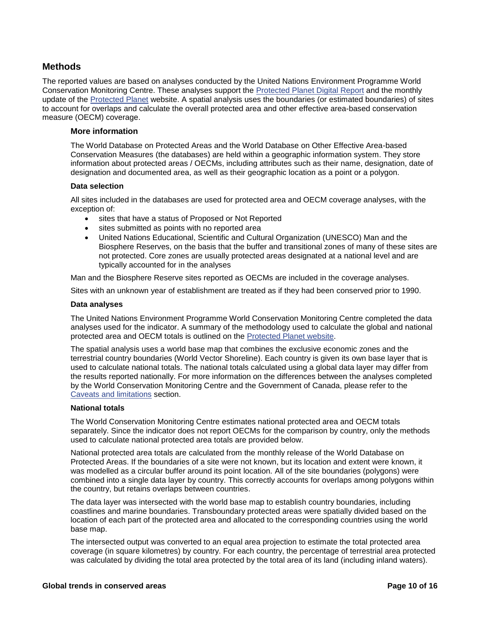#### <span id="page-9-0"></span>**Methods**

The reported values are based on analyses conducted by the United Nations Environment Programme World Conservation Monitoring Centre. These analyses support the [Protected Planet Digital](https://livereport.protectedplanet.net/) Report and the monthly update of the [Protected Planet](http://www.protectedplanet.net/) website. A spatial analysis uses the boundaries (or estimated boundaries) of sites to account for overlaps and calculate the overall protected area and other effective area-based conservation measure (OECM) coverage.

#### **More information**

The World Database on Protected Areas and the World Database on Other Effective Area-based Conservation Measures (the databases) are held within a geographic information system. They store information about protected areas / OECMs, including attributes such as their name, designation, date of designation and documented area, as well as their geographic location as a point or a polygon.

#### **Data selection**

All sites included in the databases are used for protected area and OECM coverage analyses, with the exception of:

- sites that have a status of Proposed or Not Reported
- sites submitted as points with no reported area
- United Nations Educational, Scientific and Cultural Organization (UNESCO) Man and the Biosphere Reserves, on the basis that the buffer and transitional zones of many of these sites are not protected. Core zones are usually protected areas designated at a national level and are typically accounted for in the analyses

Man and the Biosphere Reserve sites reported as OECMs are included in the coverage analyses.

Sites with an unknown year of establishment are treated as if they had been conserved prior to 1990.

#### <span id="page-9-1"></span>**Data analyses**

The United Nations Environment Programme World Conservation Monitoring Centre completed the data analyses used for the indicator. A summary of the methodology used to calculate the global and national protected area and OECM totals is outlined on the [Protected Planet website.](https://www.protectedplanet.net/en/resources/calculating-protected-area-coverage)

The spatial analysis uses a world base map that combines the exclusive economic zones and the terrestrial country boundaries (World Vector Shoreline). Each country is given its own base layer that is used to calculate national totals. The national totals calculated using a global data layer may differ from the results reported nationally. For more information on the differences between the analyses completed by the World Conservation Monitoring Centre and the Government of Canada, please refer to the [Caveats and limitations](#page-10-1) section.

#### **National totals**

The World Conservation Monitoring Centre estimates national protected area and OECM totals separately. Since the indicator does not report OECMs for the comparison by country, only the methods used to calculate national protected area totals are provided below.

National protected area totals are calculated from the monthly release of the World Database on Protected Areas. If the boundaries of a site were not known, but its location and extent were known, it was modelled as a circular buffer around its point location. All of the site boundaries (polygons) were combined into a single data layer by country. This correctly accounts for overlaps among polygons within the country, but retains overlaps between countries.

The data layer was intersected with the world base map to establish country boundaries, including coastlines and marine boundaries. Transboundary protected areas were spatially divided based on the location of each part of the protected area and allocated to the corresponding countries using the world base map.

The intersected output was converted to an equal area projection to estimate the total protected area coverage (in square kilometres) by country. For each country, the percentage of terrestrial area protected was calculated by dividing the total area protected by the total area of its land (including inland waters).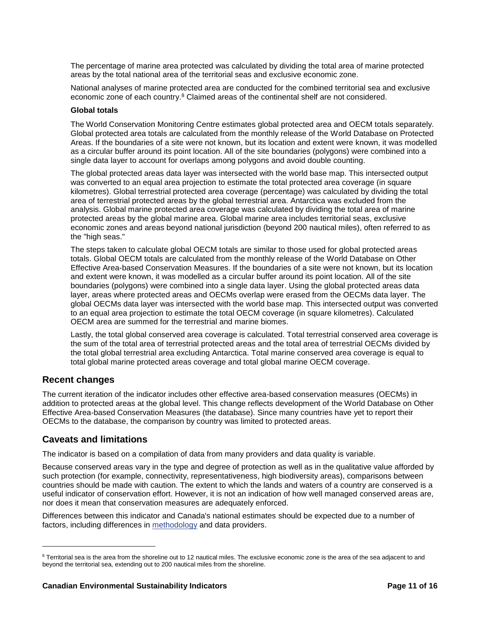The percentage of marine area protected was calculated by dividing the total area of marine protected areas by the total national area of the territorial seas and exclusive economic zone.

National analyses of marine protected area are conducted for the combined territorial sea and exclusive economic zone of each country.<sup>8</sup> Claimed areas of the continental shelf are not considered.

#### **Global totals**

The World Conservation Monitoring Centre estimates global protected area and OECM totals separately. Global protected area totals are calculated from the monthly release of the World Database on Protected Areas. If the boundaries of a site were not known, but its location and extent were known, it was modelled as a circular buffer around its point location. All of the site boundaries (polygons) were combined into a single data layer to account for overlaps among polygons and avoid double counting.

The global protected areas data layer was intersected with the world base map. This intersected output was converted to an equal area projection to estimate the total protected area coverage (in square kilometres). Global terrestrial protected area coverage (percentage) was calculated by dividing the total area of terrestrial protected areas by the global terrestrial area. Antarctica was excluded from the analysis. Global marine protected area coverage was calculated by dividing the total area of marine protected areas by the global marine area. Global marine area includes territorial seas, exclusive economic zones and areas beyond national jurisdiction (beyond 200 nautical miles), often referred to as the "high seas."

The steps taken to calculate global OECM totals are similar to those used for global protected areas totals. Global OECM totals are calculated from the monthly release of the World Database on Other Effective Area-based Conservation Measures. If the boundaries of a site were not known, but its location and extent were known, it was modelled as a circular buffer around its point location. All of the site boundaries (polygons) were combined into a single data layer. Using the global protected areas data layer, areas where protected areas and OECMs overlap were erased from the OECMs data layer. The global OECMs data layer was intersected with the world base map. This intersected output was converted to an equal area projection to estimate the total OECM coverage (in square kilometres). Calculated OECM area are summed for the terrestrial and marine biomes.

Lastly, the total global conserved area coverage is calculated. Total terrestrial conserved area coverage is the sum of the total area of terrestrial protected areas and the total area of terrestrial OECMs divided by the total global terrestrial area excluding Antarctica. Total marine conserved area coverage is equal to total global marine protected areas coverage and total global marine OECM coverage.

#### <span id="page-10-0"></span>**Recent changes**

l

The current iteration of the indicator includes other effective area-based conservation measures (OECMs) in addition to protected areas at the global level. This change reflects development of the World Database on Other Effective Area-based Conservation Measures (the database). Since many countries have yet to report their OECMs to the database, the comparison by country was limited to protected areas.

#### <span id="page-10-1"></span>**Caveats and limitations**

The indicator is based on a compilation of data from many providers and data quality is variable.

Because conserved areas vary in the type and degree of protection as well as in the qualitative value afforded by such protection (for example, connectivity, representativeness, high biodiversity areas), comparisons between countries should be made with caution. The extent to which the lands and waters of a country are conserved is a useful indicator of conservation effort. However, it is not an indication of how well managed conserved areas are, nor does it mean that conservation measures are adequately enforced.

Differences between this indicator and Canada's national estimates should be expected due to a number of factors, including differences in [methodology](http://www.protectedplanet.net/c/calculating-protected-area-coverage) and data providers.

<sup>&</sup>lt;sup>8</sup> Territorial sea is the area from the shoreline out to 12 nautical miles. The exclusive economic zone is the area of the sea adjacent to and beyond the territorial sea, extending out to 200 nautical miles from the shoreline.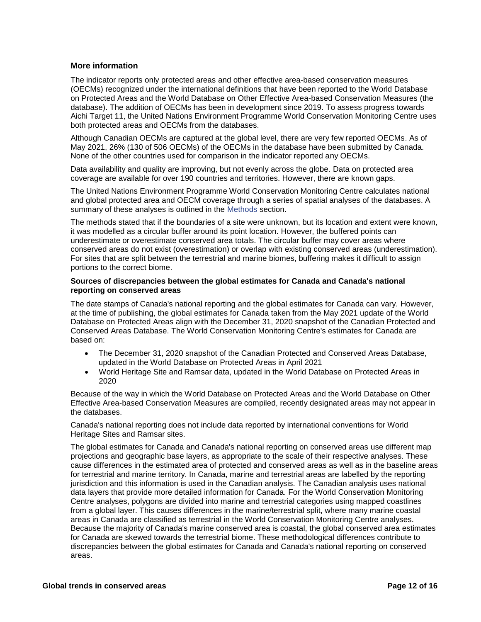#### **More information**

The indicator reports only protected areas and other effective area-based conservation measures (OECMs) recognized under the international definitions that have been reported to the World Database on Protected Areas and the World Database on Other Effective Area-based Conservation Measures (the database). The addition of OECMs has been in development since 2019. To assess progress towards Aichi Target 11, the United Nations Environment Programme World Conservation Monitoring Centre uses both protected areas and OECMs from the databases.

Although Canadian OECMs are captured at the global level, there are very few reported OECMs. As of May 2021, 26% (130 of 506 OECMs) of the OECMs in the database have been submitted by Canada. None of the other countries used for comparison in the indicator reported any OECMs.

Data availability and quality are improving, but not evenly across the globe. Data on protected area coverage are available for over 190 countries and territories. However, there are known gaps.

The United Nations Environment Programme World Conservation Monitoring Centre calculates national and global protected area and OECM coverage through a series of spatial analyses of the databases. A summary of these analyses is outlined in the [Methods](#page-9-1) section.

The methods stated that if the boundaries of a site were unknown, but its location and extent were known, it was modelled as a circular buffer around its point location. However, the buffered points can underestimate or overestimate conserved area totals. The circular buffer may cover areas where conserved areas do not exist (overestimation) or overlap with existing conserved areas (underestimation). For sites that are split between the terrestrial and marine biomes, buffering makes it difficult to assign portions to the correct biome.

#### **Sources of discrepancies between the global estimates for Canada and Canada's national reporting on conserved areas**

The date stamps of Canada's national reporting and the global estimates for Canada can vary. However, at the time of publishing, the global estimates for Canada taken from the May 2021 update of the World Database on Protected Areas align with the December 31, 2020 snapshot of the Canadian Protected and Conserved Areas Database. The World Conservation Monitoring Centre's estimates for Canada are based on:

- The December 31, 2020 snapshot of the Canadian Protected and Conserved Areas Database, updated in the World Database on Protected Areas in April 2021
- World Heritage Site and Ramsar data, updated in the World Database on Protected Areas in 2020

Because of the way in which the World Database on Protected Areas and the World Database on Other Effective Area-based Conservation Measures are compiled, recently designated areas may not appear in the databases.

Canada's national reporting does not include data reported by international conventions for World Heritage Sites and Ramsar sites.

The global estimates for Canada and Canada's national reporting on conserved areas use different map projections and geographic base layers, as appropriate to the scale of their respective analyses. These cause differences in the estimated area of protected and conserved areas as well as in the baseline areas for terrestrial and marine territory. In Canada, marine and terrestrial areas are labelled by the reporting jurisdiction and this information is used in the Canadian analysis. The Canadian analysis uses national data layers that provide more detailed information for Canada. For the World Conservation Monitoring Centre analyses, polygons are divided into marine and terrestrial categories using mapped coastlines from a global layer. This causes differences in the marine/terrestrial split, where many marine coastal areas in Canada are classified as terrestrial in the World Conservation Monitoring Centre analyses. Because the majority of Canada's marine conserved area is coastal, the global conserved area estimates for Canada are skewed towards the terrestrial biome. These methodological differences contribute to discrepancies between the global estimates for Canada and Canada's national reporting on conserved areas.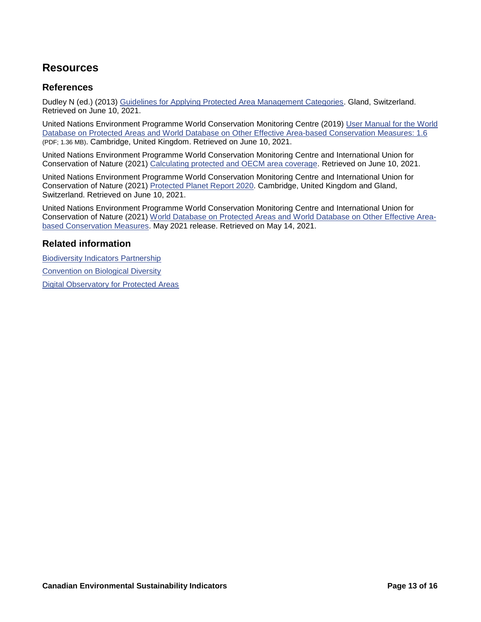# <span id="page-12-0"></span>**Resources**

#### <span id="page-12-1"></span>**References**

Dudley N (ed.) (2013) [Guidelines for Applying Protected Area Management Categories.](http://www.iucn.org/about/work/programmes/gpap_home/gpap_capacity2/gpap_pub/gpap_catpub/?13959/Guidelines-for-applying-protected-area-management-categories) Gland, Switzerland. Retrieved on June 10, 2021.

United Nations Environment Programme World Conservation Monitoring Centre (2019) [User Manual for the World](http://wcmc.io/WDPA_Manual)  [Database on Protected Areas and World Database on Other Effective Area-based Conservation Measures: 1.6](http://wcmc.io/WDPA_Manual) (PDF; 1.36 MB). Cambridge, United Kingdom. Retrieved on June 10, 2021.

United Nations Environment Programme World Conservation Monitoring Centre and International Union for Conservation of Nature (2021) [Calculating protected and OECM area coverage.](https://www.protectedplanet.net/en/resources/calculating-protected-area-coverage) Retrieved on June 10, 2021.

United Nations Environment Programme World Conservation Monitoring Centre and International Union for Conservation of Nature (2021) [Protected Planet Report 2020.](https://livereport.protectedplanet.net/) Cambridge, United Kingdom and Gland, Switzerland. Retrieved on June 10, 2021.

United Nations Environment Programme World Conservation Monitoring Centre and International Union for Conservation of Nature (2021) [World Database on Protected Areas and World Database on Other Effective Area](https://www.protectedplanet.net/)[based Conservation Measures.](https://www.protectedplanet.net/) May 2021 release. Retrieved on May 14, 2021.

#### <span id="page-12-2"></span>**Related information**

[Biodiversity Indicators Partnership](http://www.bipindicators.net/)

[Convention on Biological Diversity](http://www.cbd.int/)

[Digital Observatory for Protected Areas](http://dopa.jrc.ec.europa.eu/)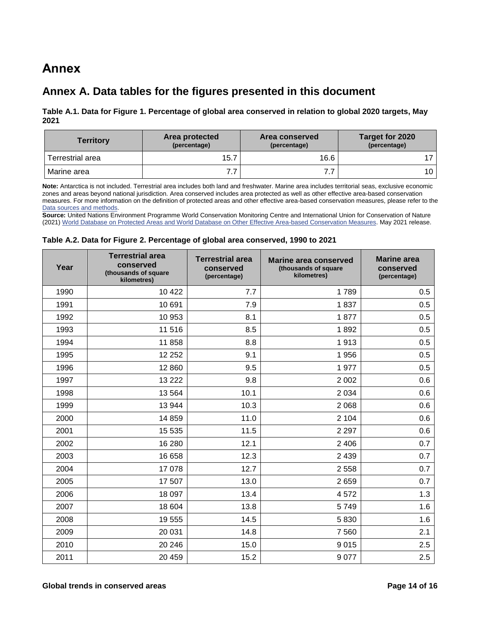# <span id="page-13-0"></span>**Annex**

## <span id="page-13-1"></span>**Annex A. Data tables for the figures presented in this document**

#### <span id="page-13-2"></span>**Table A.1. Data for Figure 1. Percentage of global area conserved [in relation to global 2020 targets, May](#page-4-2)  [2021](#page-4-2)**

| <b>Territory</b> | Area protected<br>(percentage) | <b>Area conserved</b><br>(percentage) | Target for 2020<br>(percentage) |
|------------------|--------------------------------|---------------------------------------|---------------------------------|
| Terrestrial area | 15.7                           | 16.6                                  |                                 |
| Marine area      | 77<br>٠.                       | .                                     | 10                              |

**Note:** Antarctica is not included. Terrestrial area includes both land and freshwater. Marine area includes territorial seas, exclusive economic zones and areas beyond national jurisdiction. Area conserved includes area protected as well as other effective area-based conservation measures. For more information on the definition of protected areas and other effective area-based conservation measures, please refer to the [Data sources and methods.](#page-8-0)

**Source:** United Nations Environment Programme World Conservation Monitoring Centre and International Union for Conservation of Nature (2021) [World Database on Protected Areas and World Database on Other Effective Area-based Conservation Measures.](https://www.protectedplanet.net/en) May 2021 release.

#### <span id="page-13-3"></span>**Table A.2. Data for Figure 2. Percentage [of global area conserved, 1990 to 2021](#page-5-2)**

| Year | <b>Terrestrial area</b><br>conserved<br>(thousands of square<br>kilometres) | <b>Terrestrial area</b><br>conserved<br>(percentage) | <b>Marine area conserved</b><br>(thousands of square<br>kilometres) | <b>Marine</b> area<br>conserved<br>(percentage) |  |
|------|-----------------------------------------------------------------------------|------------------------------------------------------|---------------------------------------------------------------------|-------------------------------------------------|--|
| 1990 | 10 4 22                                                                     | 7.7                                                  | 1789                                                                | 0.5                                             |  |
| 1991 | 10 691                                                                      | 7.9                                                  | 1837                                                                | 0.5                                             |  |
| 1992 | 10 953                                                                      | 8.1                                                  | 1877                                                                | 0.5                                             |  |
| 1993 | 11 516                                                                      | 8.5                                                  | 1892                                                                | 0.5                                             |  |
| 1994 | 11858                                                                       | 8.8                                                  | 1913                                                                | 0.5                                             |  |
| 1995 | 12 25 2                                                                     | 9.1                                                  | 1956                                                                | 0.5                                             |  |
| 1996 | 12 860                                                                      | 9.5                                                  | 1977                                                                | 0.5                                             |  |
| 1997 | 13 2 22                                                                     | 9.8                                                  | 2 0 0 2                                                             | 0.6                                             |  |
| 1998 | 13 5 64                                                                     | 10.1                                                 | 2 0 3 4                                                             | 0.6                                             |  |
| 1999 | 13 944                                                                      | 10.3                                                 | 2 0 6 8                                                             | 0.6                                             |  |
| 2000 | 14859                                                                       | 11.0                                                 | 2 104                                                               | 0.6                                             |  |
| 2001 | 15 5 35                                                                     | 11.5                                                 | 2 2 9 7                                                             | 0.6                                             |  |
| 2002 | 16 280                                                                      | 12.1                                                 | 2 4 0 6                                                             | 0.7                                             |  |
| 2003 | 16 658                                                                      | 12.3                                                 | 2 4 3 9                                                             | 0.7                                             |  |
| 2004 | 17078                                                                       | 12.7                                                 | 2 5 5 8                                                             | 0.7                                             |  |
| 2005 | 17 507                                                                      | 13.0                                                 | 2659                                                                | 0.7                                             |  |
| 2006 | 18 097                                                                      | 13.4                                                 | 4572                                                                | 1.3                                             |  |
| 2007 | 18 604                                                                      | 13.8                                                 | 5749                                                                | 1.6                                             |  |
| 2008 | 19555                                                                       | 14.5                                                 | 5830                                                                | 1.6                                             |  |
| 2009 | 20 031                                                                      | 14.8                                                 | 7 5 6 0                                                             | 2.1                                             |  |
| 2010 | 20 24 6                                                                     | 15.0                                                 | 9015                                                                | 2.5                                             |  |
| 2011 | 20 459                                                                      | 15.2                                                 | 9 0 7 7                                                             | 2.5                                             |  |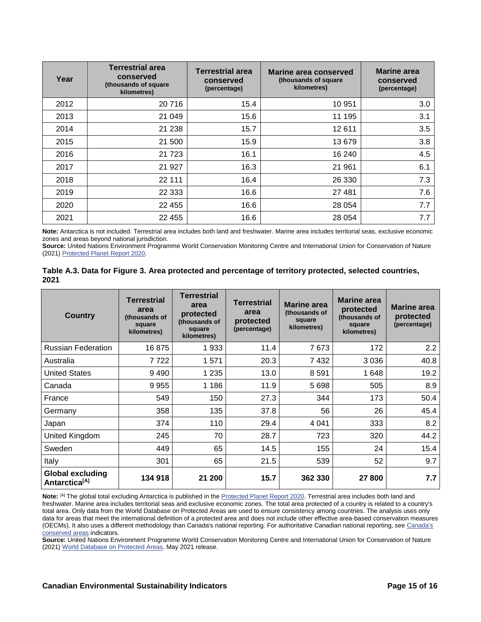| Year | <b>Terrestrial area</b><br>conserved<br>(thousands of square)<br>kilometres) | <b>Terrestrial area</b><br>conserved<br>(percentage) | Marine area conserved<br>(thousands of square)<br>kilometres) | <b>Marine area</b><br>conserved<br>(percentage) |
|------|------------------------------------------------------------------------------|------------------------------------------------------|---------------------------------------------------------------|-------------------------------------------------|
| 2012 | 20716                                                                        | 15.4                                                 | 10 951                                                        | 3.0                                             |
| 2013 | 21 049                                                                       | 15.6                                                 | 11 195                                                        | 3.1                                             |
| 2014 | 21 238                                                                       | 15.7                                                 | 12 611                                                        | 3.5                                             |
| 2015 | 21 500                                                                       | 15.9                                                 | 13 679                                                        | 3.8                                             |
| 2016 | 21 7 23                                                                      | 16.1                                                 | 16 240                                                        | 4.5                                             |
| 2017 | 21 9 27                                                                      | 16.3                                                 | 21 961                                                        | 6.1                                             |
| 2018 | 22 111                                                                       | 16.4                                                 | 26 330                                                        | 7.3                                             |
| 2019 | 22 3 33                                                                      | 16.6                                                 | 27 481                                                        | 7.6                                             |
| 2020 | 22 455                                                                       | 16.6                                                 | 28 0 54                                                       | 7.7                                             |
| 2021 | 22 455                                                                       | 16.6                                                 | 28 0 54                                                       | 7.7                                             |

**Note:** Antarctica is not included. Terrestrial area includes both land and freshwater. Marine area includes territorial seas, exclusive economic zones and areas beyond national jurisdiction.

**Source:** United Nations Environment Programme World Conservation Monitoring Centre and International Union for Conservation of Nature (2021) [Protected Planet Report 2020.](https://livereport.protectedplanet.net/)

<span id="page-14-0"></span>

| Table A.3. Data for Figure 3. Area protected and percentage of territory protected, selected countries, |
|---------------------------------------------------------------------------------------------------------|
| 2021                                                                                                    |

| <b>Country</b>                                       | Terrestrial<br>area<br>(thousands of<br>square<br>kilometres) | <b>Terrestrial</b><br>area<br>protected<br>(thousands of<br>square<br>kilometres) | <b>Terrestrial</b><br>area<br>protected<br>(percentage) | <b>Marine area</b><br>(thousands of<br>square<br>kilometres) | <b>Marine</b> area<br>protected<br>(thousands of<br>square<br>kilometres) | <b>Marine area</b><br>protected<br>(percentage) |
|------------------------------------------------------|---------------------------------------------------------------|-----------------------------------------------------------------------------------|---------------------------------------------------------|--------------------------------------------------------------|---------------------------------------------------------------------------|-------------------------------------------------|
| <b>Russian Federation</b>                            | 16875                                                         | 1933                                                                              | 11.4                                                    | 7673                                                         | 172                                                                       | $2.2\phantom{0}$                                |
| Australia                                            | 7 722                                                         | 1571                                                                              | 20.3                                                    | 7432                                                         | 3036                                                                      | 40.8                                            |
| <b>United States</b>                                 | 9490                                                          | 1 2 3 5                                                                           | 13.0                                                    | 8591                                                         | 1648                                                                      | 19.2                                            |
| Canada                                               | 9 9 5 5                                                       | 1 1 8 6                                                                           | 11.9                                                    | 5 6 9 8                                                      | 505                                                                       | 8.9                                             |
| France                                               | 549                                                           | 150                                                                               | 27.3                                                    | 344                                                          | 173                                                                       | 50.4                                            |
| Germany                                              | 358                                                           | 135                                                                               | 37.8                                                    | 56                                                           | 26                                                                        | 45.4                                            |
| Japan                                                | 374                                                           | 110                                                                               | 29.4                                                    | 4 0 4 1                                                      | 333                                                                       | 8.2                                             |
| United Kingdom                                       | 245                                                           | 70                                                                                | 28.7                                                    | 723                                                          | 320                                                                       | 44.2                                            |
| Sweden                                               | 449                                                           | 65                                                                                | 14.5                                                    | 155                                                          | 24                                                                        | 15.4                                            |
| Italy                                                | 301                                                           | 65                                                                                | 21.5                                                    | 539                                                          | 52                                                                        | 9.7                                             |
| <b>Global excluding</b><br>Antarctica <sup>[A]</sup> | 134 918                                                       | 21 200                                                                            | 15.7                                                    | 362 330                                                      | 27 800                                                                    | 7.7                                             |

Note: <sup>[A]</sup> The global total excluding Antarctica is published in the **Protected Planet Report 2020</u>**. Terrestrial area includes both land and freshwater. Marine area includes territorial seas and exclusive economic zones. The total area protected of a country is related to a country's total area. Only data from the World Database on Protected Areas are used to ensure consistency among countries. The analysis uses only data for areas that meet the international definition of a protected area and does not include other effective area-based conservation measures (OECMs). It also uses a different methodology than [Canada's](https://www.canada.ca/en/environment-climate-change/services/environmental-indicators/conserved-areas.html) national reporting. For authoritative Canadian national reporting, see Canada's [conserved](https://www.canada.ca/en/environment-climate-change/services/environmental-indicators/conserved-areas.html) areas indicators.

**Source:** United Nations Environment Programme World Conservation Monitoring Centre and International Union for Conservation of Nature (2021) [World Database on Protected Areas.](https://www.protectedplanet.net/) May 2021 release.